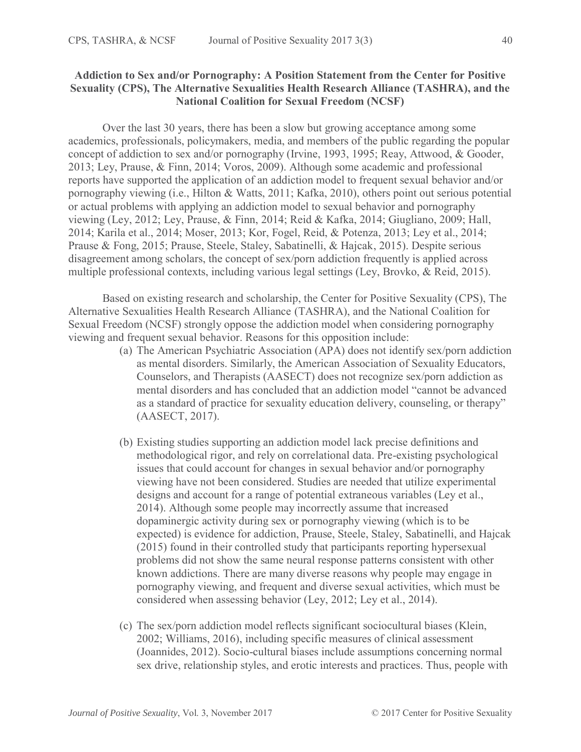## **Addiction to Sex and/or Pornography: A Position Statement from the Center for Positive Sexuality (CPS), The Alternative Sexualities Health Research Alliance (TASHRA), and the National Coalition for Sexual Freedom (NCSF)**

Over the last 30 years, there has been a slow but growing acceptance among some academics, professionals, policymakers, media, and members of the public regarding the popular concept of addiction to sex and/or pornography (Irvine, 1993, 1995; Reay, Attwood, & Gooder, 2013; Ley, Prause, & Finn, 2014; Voros, 2009). Although some academic and professional reports have supported the application of an addiction model to frequent sexual behavior and/or pornography viewing (i.e., Hilton & Watts, 2011; Kafka, 2010), others point out serious potential or actual problems with applying an addiction model to sexual behavior and pornography viewing (Ley, 2012; Ley, Prause, & Finn, 2014; Reid & Kafka, 2014; Giugliano, 2009; Hall, 2014; Karila et al., 2014; Moser, 2013; Kor, Fogel, Reid, & Potenza, 2013; Ley et al., 2014; Prause & Fong, 2015; Prause, Steele, Staley, Sabatinelli, & Hajcak, 2015). Despite serious disagreement among scholars, the concept of sex/porn addiction frequently is applied across multiple professional contexts, including various legal settings (Ley, Brovko, & Reid, 2015).

Based on existing research and scholarship, the Center for Positive Sexuality (CPS), The Alternative Sexualities Health Research Alliance (TASHRA), and the National Coalition for Sexual Freedom (NCSF) strongly oppose the addiction model when considering pornography viewing and frequent sexual behavior. Reasons for this opposition include:

- (a) The American Psychiatric Association (APA) does not identify sex/porn addiction as mental disorders. Similarly, the American Association of Sexuality Educators, Counselors, and Therapists (AASECT) does not recognize sex/porn addiction as mental disorders and has concluded that an addiction model "cannot be advanced as a standard of practice for sexuality education delivery, counseling, or therapy" (AASECT, 2017).
- (b) Existing studies supporting an addiction model lack precise definitions and methodological rigor, and rely on correlational data. Pre-existing psychological issues that could account for changes in sexual behavior and/or pornography viewing have not been considered. Studies are needed that utilize experimental designs and account for a range of potential extraneous variables (Ley et al., 2014). Although some people may incorrectly assume that increased dopaminergic activity during sex or pornography viewing (which is to be expected) is evidence for addiction, Prause, Steele, Staley, Sabatinelli, and Hajcak (2015) found in their controlled study that participants reporting hypersexual problems did not show the same neural response patterns consistent with other known addictions. There are many diverse reasons why people may engage in pornography viewing, and frequent and diverse sexual activities, which must be considered when assessing behavior (Ley, 2012; Ley et al., 2014).
- (c) The sex/porn addiction model reflects significant sociocultural biases (Klein, 2002; Williams, 2016), including specific measures of clinical assessment (Joannides, 2012). Socio-cultural biases include assumptions concerning normal sex drive, relationship styles, and erotic interests and practices. Thus, people with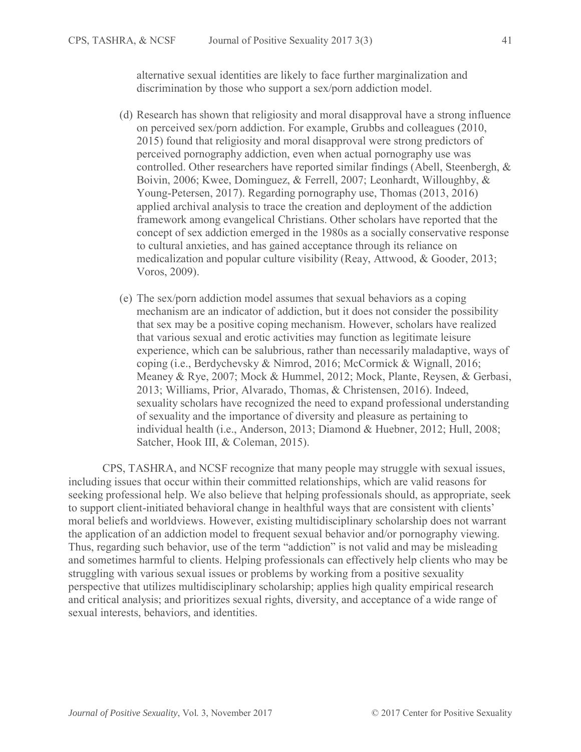alternative sexual identities are likely to face further marginalization and discrimination by those who support a sex/porn addiction model.

- (d) Research has shown that religiosity and moral disapproval have a strong influence on perceived sex/porn addiction. For example, Grubbs and colleagues (2010, 2015) found that religiosity and moral disapproval were strong predictors of perceived pornography addiction, even when actual pornography use was controlled. Other researchers have reported similar findings (Abell, Steenbergh, & Boivin, 2006; Kwee, Dominguez, & Ferrell, 2007; Leonhardt, Willoughby, & Young-Petersen, 2017). Regarding pornography use, Thomas (2013, 2016) applied archival analysis to trace the creation and deployment of the addiction framework among evangelical Christians. Other scholars have reported that the concept of sex addiction emerged in the 1980s as a socially conservative response to cultural anxieties, and has gained acceptance through its reliance on medicalization and popular culture visibility (Reay, Attwood, & Gooder, 2013; Voros, 2009).
- (e) The sex/porn addiction model assumes that sexual behaviors as a coping mechanism are an indicator of addiction, but it does not consider the possibility that sex may be a positive coping mechanism. However, scholars have realized that various sexual and erotic activities may function as legitimate leisure experience, which can be salubrious, rather than necessarily maladaptive, ways of coping (i.e., Berdychevsky & Nimrod, 2016; McCormick & Wignall, 2016; Meaney & Rye, 2007; Mock & Hummel, 2012; Mock, Plante, Reysen, & Gerbasi, 2013; Williams, Prior, Alvarado, Thomas, & Christensen, 2016). Indeed, sexuality scholars have recognized the need to expand professional understanding of sexuality and the importance of diversity and pleasure as pertaining to individual health (i.e., Anderson, 2013; Diamond & Huebner, 2012; Hull, 2008; Satcher, Hook III, & Coleman, 2015).

CPS, TASHRA, and NCSF recognize that many people may struggle with sexual issues, including issues that occur within their committed relationships, which are valid reasons for seeking professional help. We also believe that helping professionals should, as appropriate, seek to support client-initiated behavioral change in healthful ways that are consistent with clients' moral beliefs and worldviews. However, existing multidisciplinary scholarship does not warrant the application of an addiction model to frequent sexual behavior and/or pornography viewing. Thus, regarding such behavior, use of the term "addiction" is not valid and may be misleading and sometimes harmful to clients. Helping professionals can effectively help clients who may be struggling with various sexual issues or problems by working from a positive sexuality perspective that utilizes multidisciplinary scholarship; applies high quality empirical research and critical analysis; and prioritizes sexual rights, diversity, and acceptance of a wide range of sexual interests, behaviors, and identities.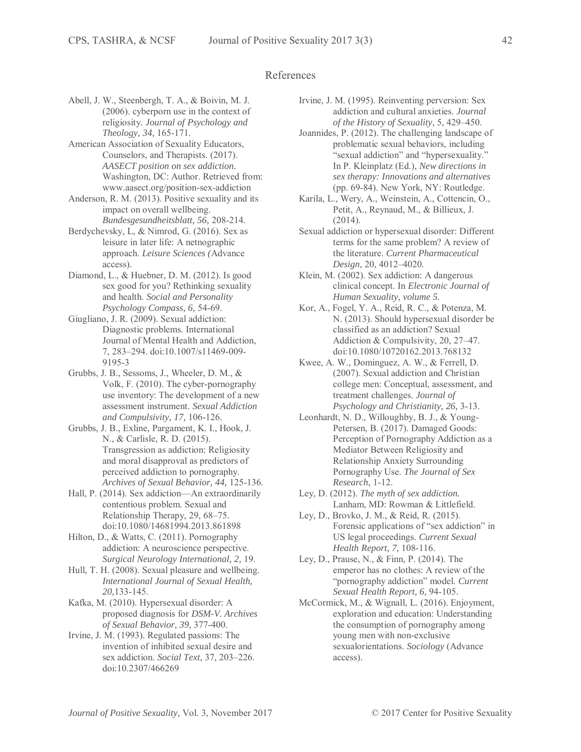## References

- Abell, J. W., Steenbergh, T. A., & Boivin, M. J. (2006). cyberporn use in the context of religiosity. *Journal of Psychology and Theology, 34,* 165-171.
- American Association of Sexuality Educators, Counselors, and Therapists. (2017). *AASECT position on sex addiction.*  Washington, DC: Author. Retrieved from: www.aasect.org/position-sex-addiction
- Anderson, R. M. (2013). Positive sexuality and its impact on overall wellbeing. *Bundesgesundheitsblatt, 56,* 208-214.
- Berdychevsky, L, & Nimrod, G. (2016). Sex as leisure in later life: A netnographic approach. *Leisure Sciences (*Advance access).
- Diamond, L., & Huebner, D. M. (2012). Is good sex good for you? Rethinking sexuality and health. *Social and Personality Psychology Compass, 6,* 54-69.
- Giugliano, J. R. (2009). Sexual addiction: Diagnostic problems. International Journal of Mental Health and Addiction, 7, 283–294. doi:10.1007/s11469-009- 9195-3
- Grubbs, J. B., Sessoms, J., Wheeler, D. M., & Volk, F. (2010). The cyber-pornography use inventory: The development of a new assessment instrument. *Sexual Addiction and Compulsivity, 17,* 106-126.
- Grubbs, J. B., Exline, Pargament, K. I., Hook, J. N., & Carlisle, R. D. (2015). Transgression as addiction: Religiosity and moral disapproval as predictors of perceived addiction to pornography. *Archives of Sexual Behavior, 44,* 125-136.
- Hall, P. (2014). Sex addiction—An extraordinarily contentious problem. Sexual and Relationship Therapy, 29, 68–75. doi:10.1080/14681994.2013.861898
- Hilton, D., & Watts, C. (2011). Pornography addiction: A neuroscience perspective. *Surgical Neurology International, 2,* 19.
- Hull, T. H. (2008). Sexual pleasure and wellbeing. *International Journal of Sexual Health, 20,*133-145.
- Kafka, M. (2010). Hypersexual disorder: A proposed diagnosis for *DSM-V. Archives of Sexual Behavior, 39,* 377-400.
- Irvine, J. M. (1993). Regulated passions: The invention of inhibited sexual desire and sex addiction. *Social Text*, 37, 203–226. doi:10.2307/466269
- Irvine, J. M. (1995). Reinventing perversion: Sex addiction and cultural anxieties. *Journal of the History of Sexuality*, 5, 429–450.
- Joannides, P. (2012). The challenging landscape of problematic sexual behaviors, including "sexual addiction" and "hypersexuality." In P. Kleinplatz (Ed.), *New directions in sex therapy: Innovations and alternatives*  (pp. 69-84). New York, NY: Routledge.
- Karila, L., Wery, A., Weinstein, A., Cottencin, O., Petit, A., Reynaud, M., & Billieux, J. (2014).
- Sexual addiction or hypersexual disorder: Different terms for the same problem? A review of the literature. *Current Pharmaceutical Design*, 20, 4012–4020.
- Klein, M. (2002). Sex addiction: A dangerous clinical concept. In *Electronic Journal of Human Sexuality, volume 5.*
- Kor, A., Fogel, Y. A., Reid, R. C., & Potenza, M. N. (2013). Should hypersexual disorder be classified as an addiction? Sexual Addiction & Compulsivity, 20, 27–47. doi:10.1080/10720162.2013.768132
- Kwee, A. W., Dominguez, A. W., & Ferrell, D. (2007). Sexual addiction and Christian college men: Conceptual, assessment, and treatment challenges. *Journal of Psychology and Christianity, 26,* 3-13.
- Leonhardt, N. D., Willoughby, B. J., & Young-Petersen, B. (2017). Damaged Goods: Perception of Pornography Addiction as a Mediator Between Religiosity and Relationship Anxiety Surrounding Pornography Use. *The Journal of Sex Research*, 1-12.
- Ley, D. (2012). *The myth of sex addiction.*  Lanham, MD: Rowman & Littlefield.
- Ley, D., Brovko, J. M., & Reid, R. (2015). Forensic applications of "sex addiction" in US legal proceedings. *Current Sexual Health Report, 7,* 108-116.
- Ley, D., Prause, N., & Finn, P. (2014). The emperor has no clothes: A review of the "pornography addiction" model. *Current Sexual Health Report, 6,* 94-105.
- McCormick, M., & Wignall, L. (2016). Enjoyment, exploration and education: Understanding the consumption of pornography among young men with non-exclusive sexualorientations. *Sociology* (Advance access).